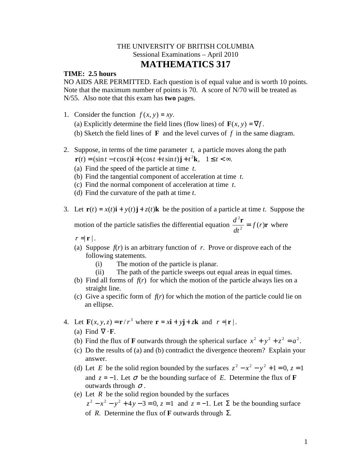## THE UNIVERSITY OF BRITISH COLUMBIA Sessional Examinations – April 2010 **MATHEMATICS 317**

## **TIME: 2.5 hours**

NO AIDS ARE PERMITTED. Each question is of equal value and is worth 10 points. Note that the maximum number of points is 70. A score of N/70 will be treated as N/55. Also note that this exam has **two** pages.

- 1. Consider the function  $f(x, y) = xy$ .
	- (a) Explicitly determine the field lines (flow lines) of  $\mathbf{F}(x, y) = \nabla f$ .
	- (b) Sketch the field lines of **F** and the level curves of *f* in the same diagram.
- 2. Suppose, in terms of the time parameter *t*, a particle moves along the path  $\mathbf{r}(t) = (\sin t - t \cos t)\mathbf{i} + (\cos t + t \sin t)\mathbf{j} + t^2\mathbf{k}, \quad 1 \le t < \infty.$ 
	- (a) Find the speed of the particle at time *t*.
	- (b) Find the tangential component of acceleration at time *t*.
	- (c) Find the normal component of acceleration at time *t*.
	- (d) Find the curvature of the path at time *t*.
- 3. Let  $\mathbf{r}(t) = x(t)\mathbf{i} + y(t)\mathbf{j} + z(t)\mathbf{k}$  be the position of a particle at time *t*. Suppose the motion of the particle satisfies the differential equation  $\frac{d^2 \mathbf{r}}{dt^2} = f(r)\mathbf{r}$ 2 *f r dt*  $\frac{d^2 \mathbf{r}}{dt^2} = f(r)\mathbf{r}$  where

 $r = |\mathbf{r}|$ .

- (a) Suppose  $f(r)$  is an arbitrary function of *r*. Prove or disprove each of the following statements.
	- (i) The motion of the particle is planar.
	- (ii) The path of the particle sweeps out equal areas in equal times.
- (b) Find all forms of  $f(r)$  for which the motion of the particle always lies on a straight line.
- (c) Give a specific form of *f*(*r*) for which the motion of the particle could lie on an ellipse.
- 4. Let  $\mathbf{F}(x, y, z) = \mathbf{r}/r^3$  where  $\mathbf{r} = x\mathbf{i} + y\mathbf{j} + z\mathbf{k}$  and  $r = |\mathbf{r}|$ .
	- (a) Find  $\nabla \cdot \mathbf{F}$ .
	- (b) Find the flux of **F** outwards through the spherical surface  $x^2 + y^2 + z^2 = a^2$ .
	- (c) Do the results of (a) and (b) contradict the divergence theorem? Explain your answer.
	- (d) Let *E* be the solid region bounded by the surfaces  $z^2 x^2 y^2 + 1 = 0$ ,  $z = 1$ and  $z = -1$ . Let  $\sigma$  be the bounding surface of *E*. Determine the flux of **F** outwards through  $\sigma$ .
	- (e) Let *R* be the solid region bounded by the surfaces  $z^2 - x^2 - y^2 + 4y - 3 = 0$ ,  $z = 1$  and  $z = -1$ . Let  $\Sigma$  be the bounding surface of *R*. Determine the flux of **F** outwards through Σ.